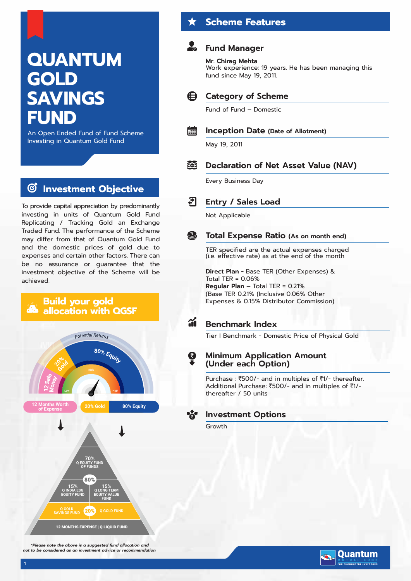# **QUANTUM GOLD SAVINGS FUND**

An Open Ended Fund of Fund Scheme Investing in Quantum Gold Fund

#### **Investment Objective**  $\bm{G}$

To provide capital appreciation by predominantly investing in units of Quantum Gold Fund Replicating / Tracking Gold an Exchange Traded Fund. The performance of the Scheme may differ from that of Quantum Gold Fund and the domestic prices of gold due to expenses and certain other factors. There can be no assurance or guarantee that the investment objective of the Scheme will be achieved.



*\*Please note the above is a suggested fund allocation and not to be considered as an investment advice or recommendation.*

# **Scheme Features**

## **Fund Manager**

# **Mr. Chirag Mehta**

Work experience: 19 years. He has been managing this fund since May 19, 2011.



Fund of Fund – Domestic



# **Inception Date (Date of Allotment)**

May 19, 2011

#### **TOP Declaration of Net Asset Value (NAV)**

Every Business Day



Not Applicable

#### S **Total Expense Ratio (As on month end)**

TER specified are the actual expenses charged (i.e. effective rate) as at the end of the month

**Direct Plan -** Base TER (Other Expenses) & Total TER = 0.06%

**Regular Plan –** Total TER = 0.21% (Base TER 0.21% (Inclusive 0.06% Other Expenses & 0.15% Distributor Commission)

#### 葡 **Benchmark Index**

Tier I Benchmark - Domestic Price of Physical Gold

## **Minimum Application Amount (Under each Option)**

Purchase :  $\overline{5}500$ /- and in multiples of  $\overline{5}1$ /- thereafter. Additional Purchase: ₹500/- and in multiples of ₹1/thereafter / 50 units

## **Investment Options**

Growth

Ø

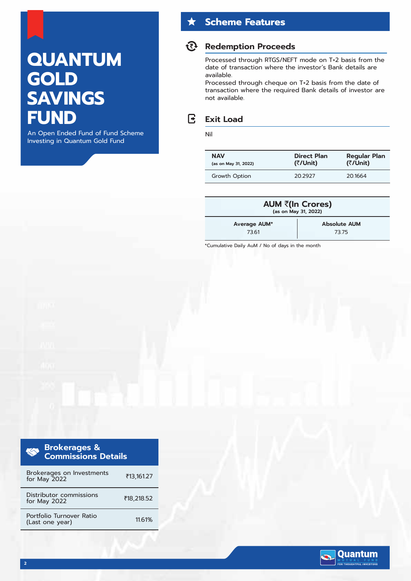# **QUANTUM GOLD SAVINGS FUND**

An Open Ended Fund of Fund Scheme Investing in Quantum Gold Fund

# **Scheme Features**

## **Redemption Proceeds**

Processed through RTGS/NEFT mode on T+2 basis from the date of transaction where the investor's Bank details are available.

Processed through cheque on T+2 basis from the date of transaction where the required Bank details of investor are not available.

#### $\mathbb{R}$ **Exit Load**

#### Nil

| <b>NAV</b>           | <b>Direct Plan</b> | <b>Regular Plan</b> |
|----------------------|--------------------|---------------------|
| (as on May 31, 2022) | (₹/Unit)           | (₹/Unit)            |
| Growth Option        | 20 29 27           | 20.1664             |

| AUM ₹(In Crores)<br>(as on May 31, 2022) |                     |  |  |  |
|------------------------------------------|---------------------|--|--|--|
| Average AUM*                             | <b>Absolute AUM</b> |  |  |  |
| 7361                                     | 7375                |  |  |  |

\*Cumulative Daily AuM / No of days in the month

| <b>Brokerages &amp;</b><br><b>ROCK</b><br><b>Commissions Details</b> |            |
|----------------------------------------------------------------------|------------|
| Brokerages on Investments<br>for May 2022                            | ₹13,161.27 |
| Distributor commissions<br>for May 2022                              | ₹18,218.52 |

Portfolio Turnover Ratio (Last one year)

11.61%

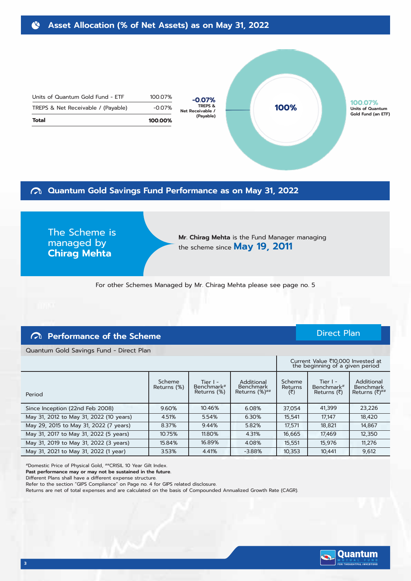Direct Plan

100.07% -0.07% **100.00%**

# **Quantum Gold Savings Fund Performance as on May 31, 2022**

The Scheme is managed by **Chirag Mehta**

Units of Quantum Gold Fund - ETF TREPS & Net Receivable / (Payable)

> **Mr. Chirag Mehta** is the Fund Manager managing the scheme since **May 19, 2011**

**100%**

For other Schemes Managed by Mr. Chirag Mehta please see page no. 5

**-0.07% TREPS & Net Receivable / (Payable)**

**Total**

## **Performance of the Scheme**

Quantum Gold Savings Fund - Direct Plan

|                                         |                       | the beginning of a given period         |                                          |                          |                                                      |                                                               |
|-----------------------------------------|-----------------------|-----------------------------------------|------------------------------------------|--------------------------|------------------------------------------------------|---------------------------------------------------------------|
| Period                                  | Scheme<br>Returns (%) | Tier $I -$<br>Benchmark#<br>Returns (%) | Additional<br>Benchmark<br>Returns (%)## | Scheme<br>Returns<br>(₹) | Tier $I -$<br>Benchmark <sup>#</sup><br>Returns (रै) | Additional<br><b>Benchmark</b><br>Returns $(3)$ <sup>##</sup> |
| Since Inception (22nd Feb 2008)         | 9.60%                 | 10.46%                                  | 6.08%                                    | 37,054                   | 41,399                                               | 23,226                                                        |
| May 31, 2012 to May 31, 2022 (10 years) | 4.51%                 | 5.54%                                   | 6.30%                                    | 15,541                   | 17.147                                               | 18,420                                                        |
| May 29, 2015 to May 31, 2022 (7 years)  | 8.37%                 | 9.44%                                   | 5.82%                                    | 17,571                   | 18,821                                               | 14,867                                                        |
| May 31, 2017 to May 31, 2022 (5 years)  | 10.75%                | 11.80%                                  | 4.31%                                    | 16,665                   | 17,469                                               | 12,350                                                        |
| May 31, 2019 to May 31, 2022 (3 years)  | 15.84%                | 16.89%                                  | 4.08%                                    | 15,551                   | 15,976                                               | 11,276                                                        |
| May 31, 2021 to May 31, 2022 (1 year)   | 3.53%                 | 4.41%                                   | $-3.88%$                                 | 10,353                   | 10,441                                               | 9,612                                                         |

#Domestic Price of Physical Gold, ##CRISIL 10 Year Gilt Index.

**Past performance may or may not be sustained in the future.**

Different Plans shall have a different expense structure.

Refer to the section "GIPS Compliance" on Page no. 4 for GIPS related disclosure.

Returns are net of total expenses and are calculated on the basis of Compounded Annualized Growth Rate (CAGR).

|                                     |                              |                                         |                                                |                          | Current Value ₹10,000 Invested at<br>the beginning of a given period |                                                |
|-------------------------------------|------------------------------|-----------------------------------------|------------------------------------------------|--------------------------|----------------------------------------------------------------------|------------------------------------------------|
|                                     | <b>Scheme</b><br>Returns (%) | Tier $I -$<br>Benchmark#<br>Returns (%) | Additional<br>Benchmark<br>Returns $(\%)^{\#}$ | Scheme<br>Returns<br>(₹) | Tier I -<br>Benchmark <sup>#</sup><br>Returns (₹)                    | Additional<br><b>Benchmark</b><br>Returns (₹)# |
| Inception (22nd Feb 2008)           | 9.60%                        | 10.46%                                  | 6.08%                                          | 37.054                   | 41.399                                                               | 23,226                                         |
| 31, 2012 to May 31, 2022 (10 years) | 4.51%                        | 5.54%                                   | 6.30%                                          | 15.541                   | 17.147                                                               | 18,420                                         |
| 29, 2015 to May 31, 2022 (7 years)  | 8.37%                        | 9.44%                                   | 5.82%                                          | 17.571                   | 18,821                                                               | 14.867                                         |

**100.07% Units of Quantum Gold Fund (an ETF)**

**3**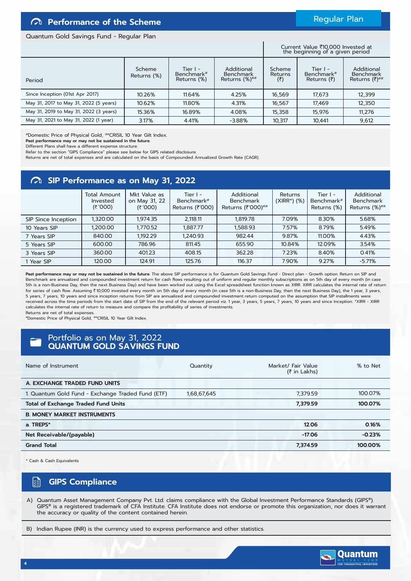## **Performance of the Scheme**

### Regular Plan

#### Quantum Gold Savings Fund - Regular Plan

Current Value ₹10,000 Invested at<br>the beginning of a given period

| Period                                 | Scheme<br>Returns (%) | Tier I -<br>Benchmark#<br>Returns (%) | Additional<br><b>Benchmark</b><br>Returns $(\%)^{\# \#}$ | Scheme<br><b>Returns</b><br>(₹) | Tier $I -$<br>Benchmark#<br>Returns $(\bar{z})$ | Additional<br><b>Benchmark</b><br>Returns $(7)^{#H}$ |
|----------------------------------------|-----------------------|---------------------------------------|----------------------------------------------------------|---------------------------------|-------------------------------------------------|------------------------------------------------------|
| Since Inception (01st Apr 2017)        | 10.26%                | 11.64%                                | 4.25%                                                    | 16,569                          | 17,673                                          | 12,399                                               |
| May 31, 2017 to May 31, 2022 (5 years) | 10.62%                | 11.80%                                | 4.31%                                                    | 16.567                          | 17,469                                          | 12,350                                               |
| May 31, 2019 to May 31, 2022 (3 years) | 15.36%                | 16.89%                                | 4.08%                                                    | 15,358                          | 15.976                                          | 11,276                                               |
| May 31, 2021 to May 31, 2022 (1 year)  | 3.17%                 | 4.41%                                 | $-3.88%$                                                 | 10,317                          | 10,441                                          | 9,612                                                |

#Domestic Price of Physical Gold, ##CRISIL 10 Year Gilt Index.

**Past performance may or may not be sustained in the future.**

Different Plans shall have a different expense structure.

Refer to the section "GIPS Compliance" please see below for GIPS related disclosure.

Returns are net of total expenses and are calculated on the basis of Compounded Annualized Growth Rate (CAGR).

## **SIP Performance as on May 31, 2022**

|                     | <b>Total Amount</b><br>Invested<br>(5'000) | Mkt Value as<br>on May 31, 22<br>(5'000) | Tier $l -$<br>Benchmark#<br>Returns (₹'000) | Additional<br><b>Benchmark</b><br>Returns (₹'000)## | <b>Returns</b><br>$(XIRR*)$ (%) | Tier $I -$<br>Benchmark <sup>#</sup><br>Returns (%) | Additional<br><b>Benchmark</b><br>Returns (%)## |
|---------------------|--------------------------------------------|------------------------------------------|---------------------------------------------|-----------------------------------------------------|---------------------------------|-----------------------------------------------------|-------------------------------------------------|
| SIP Since Inception | 1.320.00                                   | 1.974.35                                 | 2.118.11                                    | 1.819.78                                            | 7.09%                           | 8.30%                                               | 5.68%                                           |
| 10 Years SIP        | 1.200.00                                   | 1.770.52                                 | 1.887.77                                    | 1.588.93                                            | 7.57%                           | 8.79%                                               | 5.49%                                           |
| 7 Years SIP         | 840.00                                     | 1,192.29                                 | 1.240.93                                    | 982.44                                              | 9.87%                           | 11.00%                                              | 4.43%                                           |
| 5 Years SIP         | 600.00                                     | 786.96                                   | 811.45                                      | 655.90                                              | 10.84%                          | 12.09%                                              | 3.54%                                           |
| 3 Years SIP         | 360.00                                     | 401.23                                   | 408.15                                      | 362.28                                              | 7.23%                           | 8.40%                                               | 0.41%                                           |
| 1 Year SIP          | 120.00                                     | 124.91                                   | 125.76                                      | 116.37                                              | 7.90%                           | 9.27%                                               | $-5.71%$                                        |

Past performance may or may not be sustained in the future. The above SIP performance is for Quantum Gold Savings Fund - Direct plan - Growth option. Return on SIP and Benchmark are annualized and compounded investment return for cash flows resulting out of uniform and regular monthly subscriptions as on 5th day of every month (in case 5th is a non-Business Day, then the next Business Day) and have been worked out using the Excel spreadsheet function known as XIRR. XIRR calculates the internal rate of return for series of cash flow. Assuming ₹10,000 invested every month on 5th day of every month (in case 5th is a non-Business Day, then the next Business Day), the 1 year, 3 years, 5 years, 7 years, 10 years and since inception returns from SIP are annualized and compounded investment return computed on the assumption that SIP installments were received across the time periods from the start date of SIP from the end of the relevant period viz. 1 year, 3 years, 5 years, 10 years, 10 years and since Inception. \*XIRR - XIRR calculates the internal rate of return to measure and compare the profitability of series of investments. Returns are net of total expenses.

#Domestic Price of Physical Gold, ##CRISIL 10 Year Gilt Index.

## Portfolio as on May 31, 2022 **QUANTUM GOLD SAVINGS FUND**

| Name of Instrument                                | Quantity    | Market/ Fair Value<br>$(3 \in \mathsf{In}$ Lakhs) | % to Net |
|---------------------------------------------------|-------------|---------------------------------------------------|----------|
| A. EXCHANGE TRADED FUND UNITS                     |             |                                                   |          |
| 1. Quantum Gold Fund - Exchange Traded Fund (ETF) | 1,68,67,645 | 7,379.59                                          | 100.07%  |
| <b>Total of Exchange Traded Fund Units</b>        |             | 7.379.59                                          | 100.07%  |
| <b>B. MONEY MARKET INSTRUMENTS</b>                |             |                                                   |          |
| a. TREPS*                                         |             | 12.06                                             | 0.16%    |
| Net Receivable/(payable)                          |             | $-17.06$                                          | $-0.23%$ |
| <b>Grand Total</b>                                |             | 7,374.59                                          | 100.00%  |
|                                                   |             |                                                   |          |

\* Cash & Cash Equivalents

#### 医 **GIPS Compliance**

A) Quantum Asset Management Company Pvt. Ltd. claims compliance with the Global Investment Performance Standards (GIPS®). GIPS® is a registered trademark of CFA Institute. CFA Institute does not endorse or promote this organization, nor does it warrant the accuracy or quality of the content contained herein.

B) Indian Rupee (INR) is the currency used to express performance and other statistics.

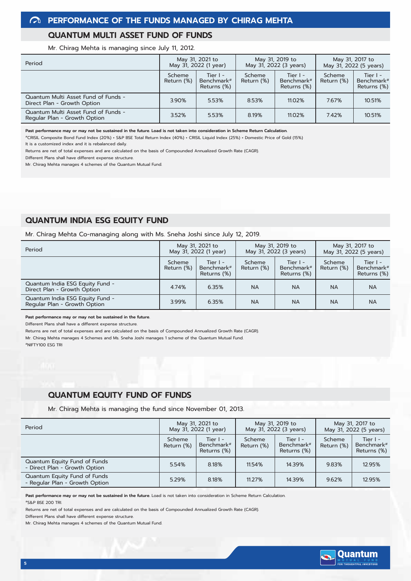### **QUANTUM MULTI ASSET FUND OF FUNDS**

Mr. Chirag Mehta is managing since July 11, 2012.

| Period                                                              | May 31, 2021 to<br>May 31, 2022 (1 year) |                                                     | May 31, 2019 to<br>May 31, 2022 (3 years) |                                                     | May 31, 2017 to<br>May 31, 2022 (5 years) |                                                   |
|---------------------------------------------------------------------|------------------------------------------|-----------------------------------------------------|-------------------------------------------|-----------------------------------------------------|-------------------------------------------|---------------------------------------------------|
|                                                                     | Scheme<br>Return (%)                     | Tier $I -$<br>Benchmark <sup>#</sup><br>Returns (%) | Scheme<br>Return (%)                      | Tier $I -$<br>Benchmark <sup>#</sup><br>Returns (%) | Scheme<br>Return (%)                      | Tier I -<br>Benchmark <sup>#</sup><br>Returns (%) |
| Quantum Multi Asset Fund of Funds -<br>Direct Plan - Growth Option  | 3.90%                                    | 5.53%                                               | 8.53%                                     | 11.02%                                              | 7.67%                                     | 10.51%                                            |
| Quantum Multi Asset Fund of Funds -<br>Regular Plan - Growth Option | 3.52%                                    | 5.53%                                               | 8.19%                                     | 11.02%                                              | 7.42%                                     | 10.51%                                            |

**Past performance may or may not be sustained in the future. Load is not taken into consideration in Scheme Return Calculation.**

#CRISIL Composite Bond Fund Index (20%) + S&P BSE Total Return Index (40%) + CRISIL Liquid Index (25%) + Domestic Price of Gold (15%)

It is a customized index and it is rebalanced daily.

Returns are net of total expenses and are calculated on the basis of Compounded Annualized Growth Rate (CAGR).

Different Plans shall have different expense structure.

Mr. Chirag Mehta manages 4 schemes of the Quantum Mutual Fund.

## **QUANTUM INDIA ESG EQUITY FUND**

Mr. Chirag Mehta Co-managing along with Ms. Sneha Joshi since July 12, 2019.

| Period                                                          | May 31, 2021 to<br>May 31, 2022 (1 year) |                                         | May 31, 2019 to<br>May 31, 2022 (3 years) |                                         | May 31, 2017 to<br>May 31, 2022 (5 years) |                                                     |
|-----------------------------------------------------------------|------------------------------------------|-----------------------------------------|-------------------------------------------|-----------------------------------------|-------------------------------------------|-----------------------------------------------------|
|                                                                 | Scheme<br>Return (%)                     | Tier $I -$<br>Benchmark#<br>Returns (%) | Scheme<br>Return (%)                      | Tier $I -$<br>Benchmark#<br>Returns (%) | Scheme<br>Return (%)                      | Tier $I -$<br>Benchmark <sup>#</sup><br>Returns (%) |
| Quantum India ESG Equity Fund -<br>Direct Plan - Growth Option  | 4.74%                                    | 6.35%                                   | <b>NA</b>                                 | <b>NA</b>                               | <b>NA</b>                                 | <b>NA</b>                                           |
| Quantum India ESG Equity Fund -<br>Regular Plan - Growth Option | 3.99%                                    | 6.35%                                   | <b>NA</b>                                 | <b>NA</b>                               | <b>NA</b>                                 | <b>NA</b>                                           |

**Past performance may or may not be sustained in the future.**

Different Plans shall have a different expense structure.

Returns are net of total expenses and are calculated on the basis of Compounded Annualized Growth Rate (CAGR). Mr. Chirag Mehta manages 4 Schemes and Ms. Sneha Joshi manages 1 scheme of the Quantum Mutual Fund.

#NIFTY100 ESG TRI

### **QUANTUM EQUITY FUND OF FUNDS**

Mr. Chirag Mehta is managing the fund since November 01, 2013.

| Period                                                         | May 31, 2021 to<br>May 31, 2022 (1 year) |                                       | May 31, 2019 to<br>May 31, 2022 (3 years) |                                         | May 31, 2017 to<br>May 31, 2022 (5 years) |                                                     |
|----------------------------------------------------------------|------------------------------------------|---------------------------------------|-------------------------------------------|-----------------------------------------|-------------------------------------------|-----------------------------------------------------|
|                                                                | Scheme<br>Return (%)                     | Tier I -<br>Benchmark#<br>Returns (%) | Scheme<br>Return (%)                      | Tier $I -$<br>Benchmark#<br>Returns (%) | Scheme<br>Return (%)                      | Tier $I -$<br>Benchmark <sup>#</sup><br>Returns (%) |
| Quantum Equity Fund of Funds<br>- Direct Plan - Growth Option  | 5.54%                                    | 8.18%                                 | 11.54%                                    | 14.39%                                  | 9.83%                                     | 12.95%                                              |
| Quantum Equity Fund of Funds<br>- Regular Plan - Growth Option | 5.29%                                    | 8.18%                                 | 11.27%                                    | 14.39%                                  | 9.62%                                     | 12.95%                                              |

Past performance may or may not be sustained in the future. Load is not taken into consideration in Scheme Return Calculation

#S&P BSE 200 TRI.

Returns are net of total expenses and are calculated on the basis of Compounded Annualized Growth Rate (CAGR).

Different Plans shall have different expense structure.

Mr. Chirag Mehta manages 4 schemes of the Quantum Mutual Fund.